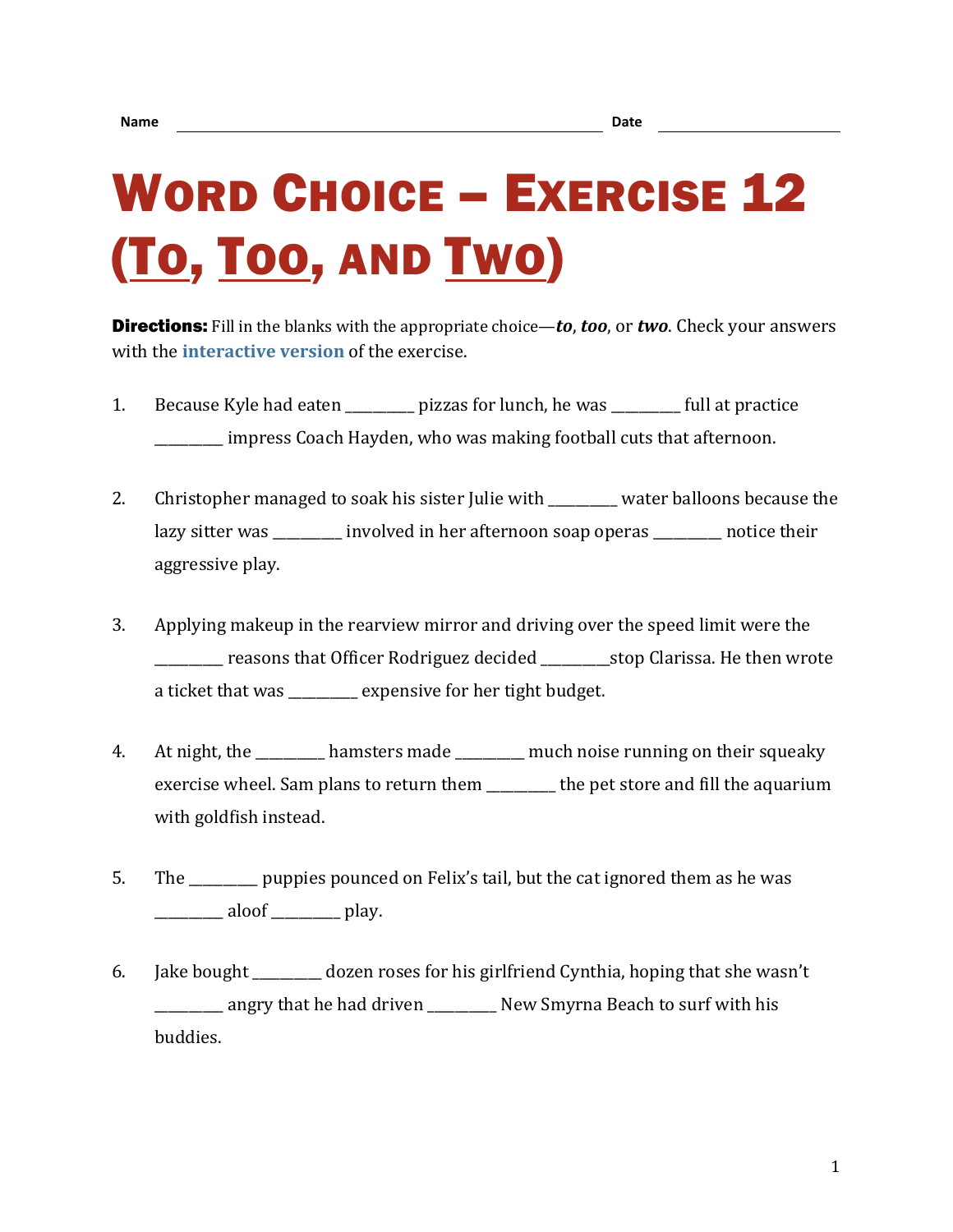## WORD CHOICE – EXERCISE 12 (TO, TOO, AND TWO)

Directions: Fill in the blanks with the appropriate choice—*to*, *too*, or *two*. Check your answers with the **[interactive version](https://chompchomp.com/hotpotatoes/wordchoice12a.htm)** of the exercise.

- 1. Because Kyle had eaten bizzas for lunch, he was full at practice \_\_\_\_\_\_\_\_\_\_ impress Coach Hayden, who was making football cuts that afternoon.
- 2. Christopher managed to soak his sister Julie with with water balloons because the lazy sitter was \_\_\_\_\_\_\_\_\_\_ involved in her afternoon soap operas \_\_\_\_\_\_\_\_\_\_ notice their aggressive play.
- 3. Applying makeup in the rearview mirror and driving over the speed limit were the \_\_\_\_\_\_\_\_\_\_ reasons that Officer Rodriguez decided \_\_\_\_\_\_\_\_\_\_stop Clarissa. He then wrote a ticket that was \_\_\_\_\_\_\_\_ expensive for her tight budget.
- 4. At night, the hamsters made much noise running on their squeaky exercise wheel. Sam plans to return them \_\_\_\_\_\_\_\_\_\_ the pet store and fill the aquarium with goldfish instead.
- 5. The \_\_\_\_\_\_\_\_\_\_ puppies pounced on Felix's tail, but the cat ignored them as he was  $\frac{1}{\sqrt{1-\frac{1}{2}}}\text{aloof}$   $\frac{1}{\sqrt{1-\frac{1}{2}}}\text{play.}$
- 6. Jake bought dozen roses for his girlfriend Cynthia, hoping that she wasn't \_\_\_\_\_\_\_\_\_\_ angry that he had driven \_\_\_\_\_\_\_\_\_\_ New Smyrna Beach to surf with his buddies.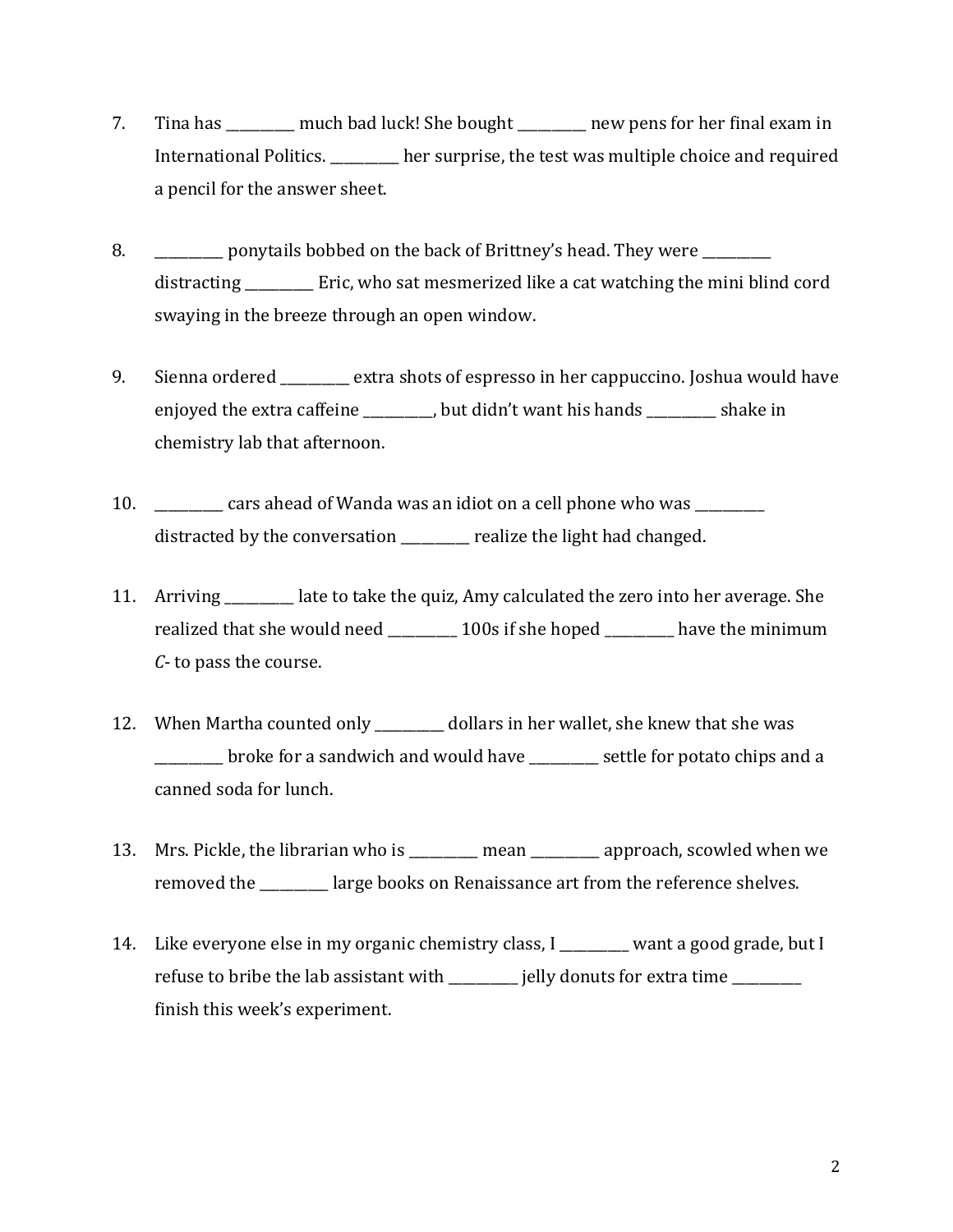- 7. Tina has \_\_\_\_\_\_\_\_\_\_ much bad luck! She bought \_\_\_\_\_\_\_\_\_\_ new pens for her final exam in International Politics. \_\_\_\_\_\_\_\_\_\_ her surprise, the test was multiple choice and required a pencil for the answer sheet.
- 8. \_\_\_\_\_\_\_\_\_\_ ponytails bobbed on the back of Brittney's head. They were \_\_\_\_\_\_\_ distracting \_\_\_\_\_\_\_\_\_\_ Eric, who sat mesmerized like a cat watching the mini blind cord swaying in the breeze through an open window.
- 9. Sienna ordered extra shots of espresso in her cappuccino. Joshua would have enjoyed the extra caffeine \_\_\_\_\_\_\_\_, but didn't want his hands \_\_\_\_\_\_\_\_\_ shake in chemistry lab that afternoon.
- 10. \_\_\_\_\_\_\_\_\_\_ cars ahead of Wanda was an idiot on a cell phone who was \_\_\_\_\_\_\_\_\_\_ distracted by the conversation \_\_\_\_\_\_\_\_\_\_ realize the light had changed.
- 11. Arriving \_\_\_\_\_\_\_\_\_\_ late to take the quiz, Amy calculated the zero into her average. She realized that she would need \_\_\_\_\_\_\_\_\_ 100s if she hoped \_\_\_\_\_\_\_\_\_ have the minimum *C*- to pass the course.
- 12. When Martha counted only \_\_\_\_\_\_\_\_\_\_ dollars in her wallet, she knew that she was \_\_\_\_\_\_\_\_\_\_ broke for a sandwich and would have \_\_\_\_\_\_\_\_\_\_ settle for potato chips and a canned soda for lunch.
- 13. Mrs. Pickle, the librarian who is \_\_\_\_\_\_\_\_\_\_ mean \_\_\_\_\_\_\_\_\_\_ approach, scowled when we removed the \_\_\_\_\_\_\_\_\_\_ large books on Renaissance art from the reference shelves.
- 14. Like everyone else in my organic chemistry class, I want a good grade, but I refuse to bribe the lab assistant with \_\_\_\_\_\_\_\_ jelly donuts for extra time \_\_\_\_\_\_\_\_ finish this week's experiment.